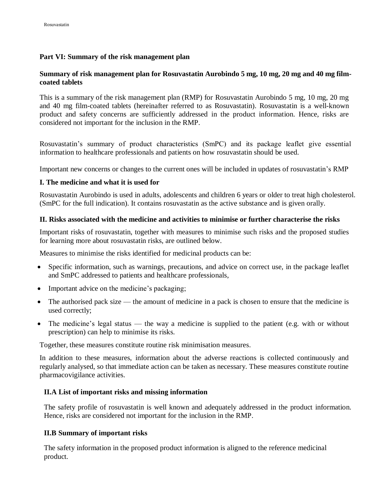## **Part VI: Summary of the risk management plan**

## **Summary of risk management plan for Rosuvastatin Aurobindo 5 mg, 10 mg, 20 mg and 40 mg filmcoated tablets**

This is a summary of the risk management plan (RMP) for Rosuvastatin Aurobindo 5 mg, 10 mg, 20 mg and 40 mg film-coated tablets (hereinafter referred to as Rosuvastatin). Rosuvastatin is a well-known product and safety concerns are sufficiently addressed in the product information. Hence, risks are considered not important for the inclusion in the RMP.

Rosuvastatin's summary of product characteristics (SmPC) and its package leaflet give essential information to healthcare professionals and patients on how rosuvastatin should be used.

Important new concerns or changes to the current ones will be included in updates of rosuvastatin's RMP

#### **I. The medicine and what it is used for**

Rosuvastatin Aurobindo is used in adults, adolescents and children 6 years or older to treat high cholesterol. (SmPC for the full indication). It contains rosuvastatin as the active substance and is given orally.

#### **II. Risks associated with the medicine and activities to minimise or further characterise the risks**

Important risks of rosuvastatin, together with measures to minimise such risks and the proposed studies for learning more about rosuvastatin risks, are outlined below.

Measures to minimise the risks identified for medicinal products can be:

- Specific information, such as warnings, precautions, and advice on correct use, in the package leaflet and SmPC addressed to patients and healthcare professionals,
- Important advice on the medicine's packaging;
- The authorised pack size the amount of medicine in a pack is chosen to ensure that the medicine is used correctly;
- The medicine's legal status the way a medicine is supplied to the patient (e.g. with or without prescription) can help to minimise its risks.

Together, these measures constitute routine risk minimisation measures.

In addition to these measures, information about the adverse reactions is collected continuously and regularly analysed, so that immediate action can be taken as necessary. These measures constitute routine pharmacovigilance activities.

#### **II.A List of important risks and missing information**

The safety profile of rosuvastatin is well known and adequately addressed in the product information. Hence, risks are considered not important for the inclusion in the RMP.

#### **II.B Summary of important risks**

The safety information in the proposed product information is aligned to the reference medicinal product.